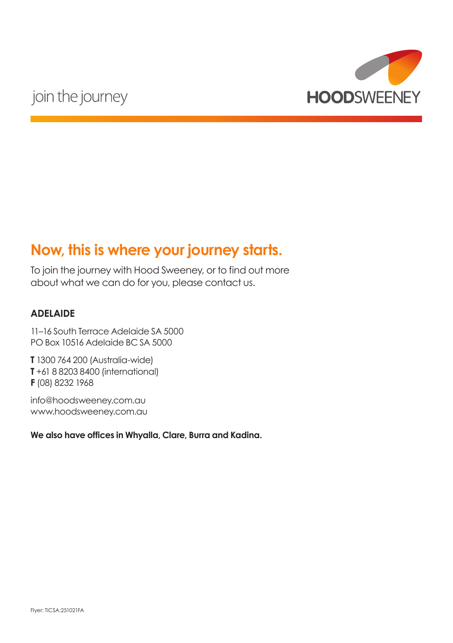

## **Now, this is where your journey starts.**

To join the journey with Hood Sweeney, or to find out more about what we can do for you, please contact us.

#### **ADELAIDE**

11–16 South Terrace Adelaide SA 5000 PO Box 10516 Adelaide BC SA 5000

**T** 1300 764 200 (Australia-wide) **T** +61 8 8203 8400 (international) **F** (08) 8232 1968

info@hoodsweeney.com.au www.hoodsweeney.com.au

**We also have offices in Whyalla, Clare, Burra and Kadina.**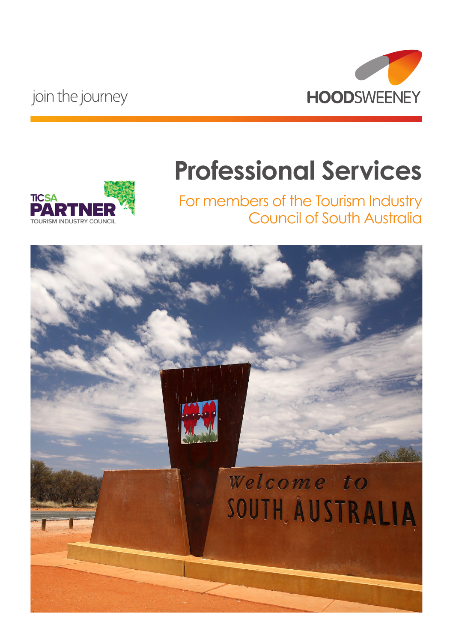

# **Professional Services**



For members of the Tourism Industry Council of South Australia

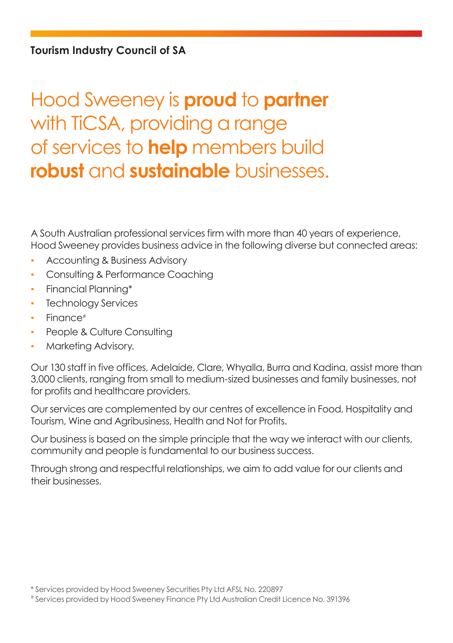# Hood Sweeney is **proud** to **partner** with TiCSA, providing a range of services to **help** members build **robust** and **sustainable** businesses.

A South Australian professional services firm with more than 40 years of experience, Hood Sweeney provides business advice in the following diverse but connected areas:

- **Accounting & Business Advisory**
- Consulting & Performance Coaching
- Financial Planning\*
- Technology Services
- Finance<sup>#</sup>
- People & Culture Consulting
- Marketing Advisory.

Our 130 staff in five offices, Adelaide, Clare, Whyalla, Burra and Kadina, assist more than 3,000 clients, ranging from small to medium-sized businesses and family businesses, not for profits and healthcare providers.

Our services are complemented by our centres of excellence in Food, Hospitality and Tourism, Wine and Agribusiness, Health and Not for Profits.

Our business is based on the simple principle that the way we interact with our clients, community and people is fundamental to our business success.

Through strong and respectful relationships, we aim to add value for our clients and their businesses.

# Services provided by Hood Sweeney Finance Pty Ltd Australian Credit Licence No. 391396

<sup>\*</sup> Services provided by Hood Sweeney Securities Pty Ltd AFSL No. 220897